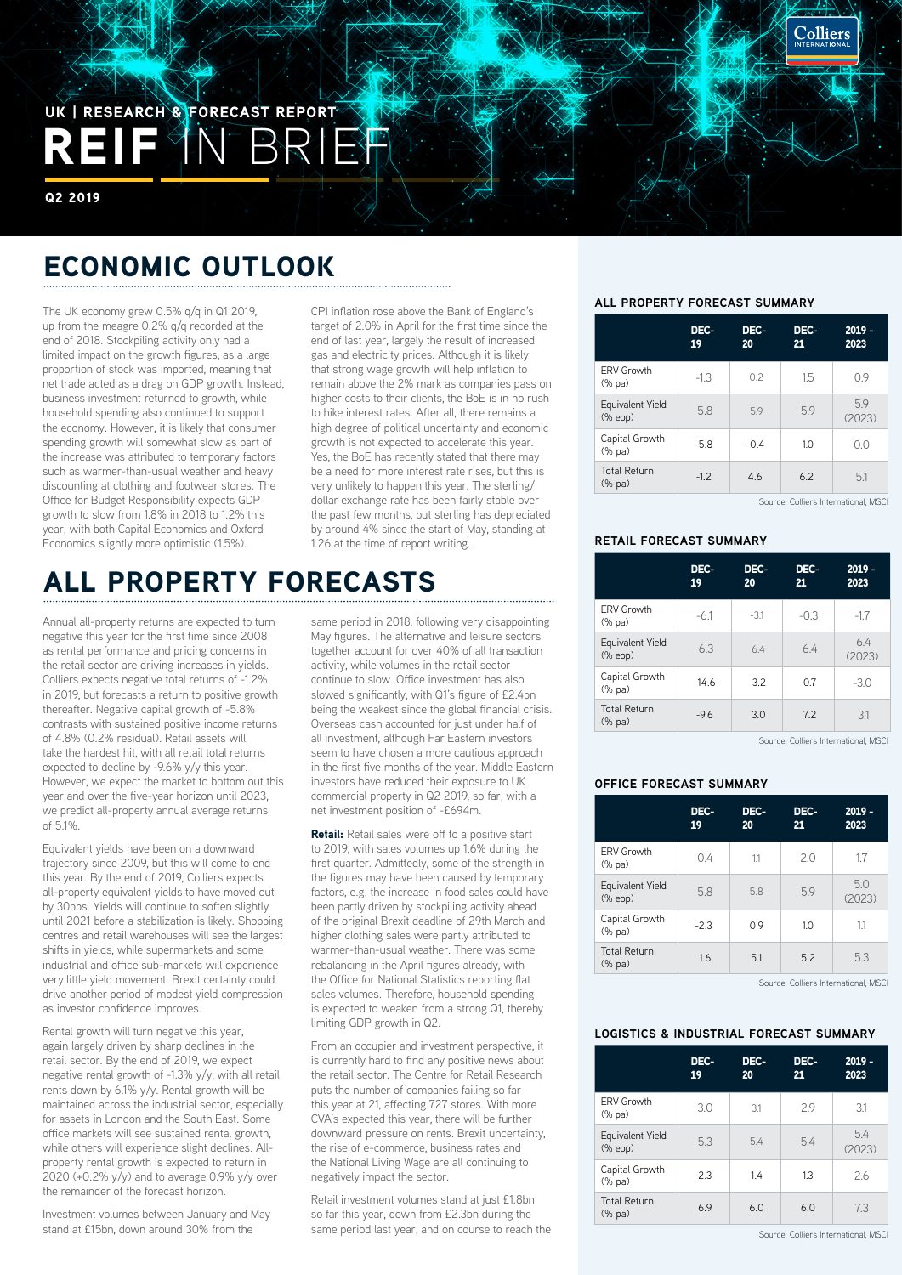# REIF IN BRIEF UK | RESEARCH & FORECAST REPORT

Q2 2019

## ECONOMIC OUTLOOK

The UK economy grew 0.5% q/q in Q1 2019, up from the meagre 0.2% q/q recorded at the end of 2018. Stockpiling activity only had a limited impact on the growth figures, as a large proportion of stock was imported, meaning that net trade acted as a drag on GDP growth. Instead, business investment returned to growth, while household spending also continued to support the economy. However, it is likely that consumer spending growth will somewhat slow as part of the increase was attributed to temporary factors such as warmer-than-usual weather and heavy discounting at clothing and footwear stores. The Office for Budget Responsibility expects GDP growth to slow from 1.8% in 2018 to 1.2% this year, with both Capital Economics and Oxford Economics slightly more optimistic (1.5%).

CPI inflation rose above the Bank of England's target of 2.0% in April for the first time since the end of last year, largely the result of increased gas and electricity prices. Although it is likely that strong wage growth will help inflation to remain above the 2% mark as companies pass on higher costs to their clients, the BoE is in no rush to hike interest rates. After all, there remains a high degree of political uncertainty and economic growth is not expected to accelerate this year. Yes, the BoE has recently stated that there may be a need for more interest rate rises, but this is very unlikely to happen this year. The sterling/ dollar exchange rate has been fairly stable over the past few months, but sterling has depreciated by around 4% since the start of May, standing at 1.26 at the time of report writing.

## ALL PROPERTY FORECASTS

Annual all-property returns are expected to turn negative this year for the first time since 2008 as rental performance and pricing concerns in the retail sector are driving increases in yields. Colliers expects negative total returns of -1.2% in 2019, but forecasts a return to positive growth thereafter. Negative capital growth of -5.8% contrasts with sustained positive income returns of 4.8% (0.2% residual). Retail assets will take the hardest hit, with all retail total returns expected to decline by -9.6% y/y this year. However, we expect the market to bottom out this year and over the five-year horizon until 2023, we predict all-property annual average returns  $of 5.1%$ 

Equivalent yields have been on a downward trajectory since 2009, but this will come to end this year. By the end of 2019, Colliers expects all-property equivalent yields to have moved out by 30bps. Yields will continue to soften slightly until 2021 before a stabilization is likely. Shopping centres and retail warehouses will see the largest shifts in yields, while supermarkets and some industrial and office sub-markets will experience very little yield movement. Brexit certainty could drive another period of modest yield compression as investor confidence improves.

Rental growth will turn negative this year, again largely driven by sharp declines in the retail sector. By the end of 2019, we expect negative rental growth of -1.3% y/y, with all retail rents down by 6.1% y/y. Rental growth will be maintained across the industrial sector, especially for assets in London and the South East. Some office markets will see sustained rental growth, while others will experience slight declines. Allproperty rental growth is expected to return in 2020 (+0.2%  $y/y$ ) and to average 0.9%  $y/y$  over the remainder of the forecast horizon.

Investment volumes between January and May stand at £15bn, down around 30% from the

same period in 2018, following very disappointing May figures. The alternative and leisure sectors together account for over 40% of all transaction activity, while volumes in the retail sector continue to slow. Office investment has also slowed significantly, with Q1's figure of £2.4bn being the weakest since the global financial crisis. Overseas cash accounted for just under half of all investment, although Far Eastern investors seem to have chosen a more cautious approach in the first five months of the year. Middle Eastern investors have reduced their exposure to UK commercial property in Q2 2019, so far, with a net investment position of -£694m.

**Retail:** Retail sales were off to a positive start to 2019, with sales volumes up 1.6% during the first quarter. Admittedly, some of the strength in the figures may have been caused by temporary factors, e.g. the increase in food sales could have been partly driven by stockpiling activity ahead of the original Brexit deadline of 29th March and higher clothing sales were partly attributed to warmer-than-usual weather. There was some rebalancing in the April figures already, with the Office for National Statistics reporting flat sales volumes. Therefore, household spending is expected to weaken from a strong Q1, thereby limiting GDP growth in Q2.

From an occupier and investment perspective, it is currently hard to find any positive news about the retail sector. The Centre for Retail Research puts the number of companies failing so far this year at 21, affecting 727 stores. With more CVA's expected this year, there will be further downward pressure on rents. Brexit uncertainty, the rise of e-commerce, business rates and the National Living Wage are all continuing to negatively impact the sector.

Retail investment volumes stand at just £1.8bn so far this year, down from £2.3bn during the same period last year, and on course to reach the

#### **ALL PROPERTY FORECAST SUMMARY**

|                                  | DEC-<br>19 | DEC-<br>20 | DEC-<br>21 | $2019 -$<br>2023 |
|----------------------------------|------------|------------|------------|------------------|
| <b>ERV Growth</b><br>(% pa)      | $-1.3$     | 0.2        | 1.5        | 09               |
| Equivalent Yield<br>$(\%$ eop)   | 5.8        | 5.9        | 5.9        | 5.9<br>(2023)    |
| Capital Growth<br>(% pa)         | $-5.8$     | $-0.4$     | 1.0        | 0 <sub>0</sub>   |
| <b>Total Return</b><br>$(\%$ pa) | $-1.2$     | 4.6        | 6.2        | 5.1              |

Source: Colliers International, MSCI

Colliers

## **RETAIL FORECAST SUMMARY**

|                               | DEC-<br>19 | DEC-<br>20 | DEC-<br>21                               | $2019 -$<br>2023 |
|-------------------------------|------------|------------|------------------------------------------|------------------|
| <b>ERV Growth</b><br>(% pa)   | $-6.1$     | $-3.1$     | $-0.3$                                   | $-1.7$           |
| Equivalent Yield<br>(% eop)   | 6.3        | 6.4        | 6.4                                      | 6.4<br>(2023)    |
| Capital Growth<br>(% pa)      | $-14.6$    | $-3.2$     | 0.7                                      | $-3.0$           |
| <b>Total Return</b><br>(% pa) | $-9.6$     | 3.0        | 7.2                                      | 3.1              |
|                               |            |            | $-$<br><b>Contract Contract Contract</b> |                  |

Source: Colliers International, MSCI

## **OFFICE FORECAST SUMMARY**

|                                  | DEC-<br>19 | DEC-<br>20 | DEC-<br>21 | $2019 -$<br>2023 |
|----------------------------------|------------|------------|------------|------------------|
| <b>ERV Growth</b><br>(% pa)      | 0.4        | 1.1        | 2.0        | 1.7              |
| Equivalent Yield<br>$(\%$ eop)   | 5.8        | 5.8        | 59         | 5.0<br>(2023)    |
| Capital Growth<br>(% pa)         | $-2.3$     | 0.9        | 1.0        | 1.1              |
| <b>Total Return</b><br>$(\%$ pa) | 1.6        | 5.1        | 5.2        | 5.3              |

Source: Colliers International, MSCI

### **LOGISTICS & INDUSTRIAL FORECAST SUMMARY**

|                                  | DEC-<br>19 | DEC-<br>20 | DEC-<br>21 | $2019 -$<br>2023 |
|----------------------------------|------------|------------|------------|------------------|
| <b>ERV Growth</b><br>(% pa)      | 3.0        | 3.1        | 29         | 3.1              |
| Equivalent Yield<br>$(\%$ eop)   | 5.3        | 5.4        | 5.4        | 5.4<br>(2023)    |
| Capital Growth<br>(% pa)         | 2.3        | 1.4        | 1.3        | 2.6              |
| <b>Total Return</b><br>$(\%$ pa) | 6.9        | 6.0        | 6.0        | 7.3              |

Source: Colliers International, MSCI